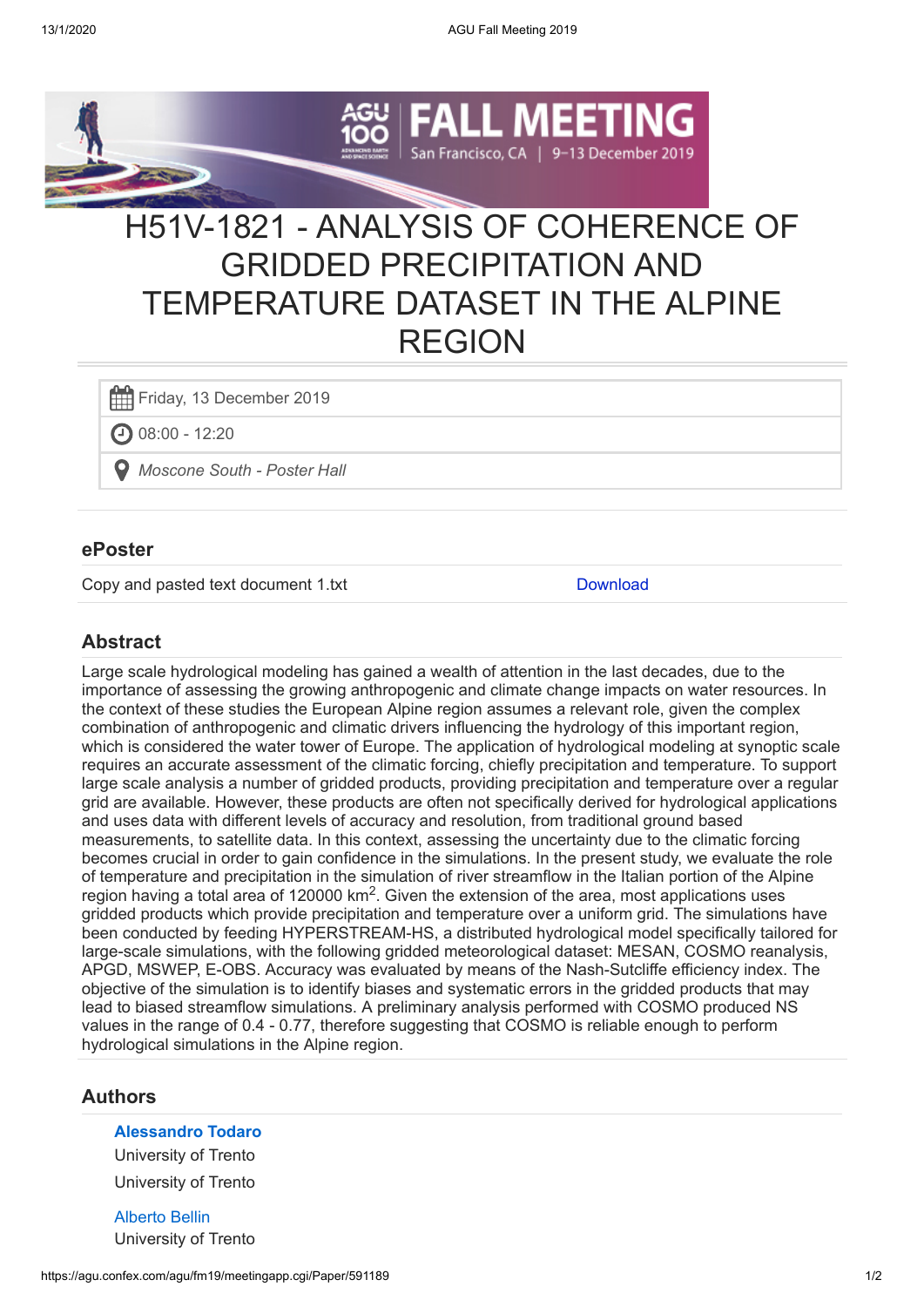

# H51V-1821 - ANALYSIS OF COHERENCE OF GRIDDED PRECIPITATION AND TEMPERATURE DATASET IN THE ALPINE REGION

Friday, 13 December 2019

 $\bigodot$  08:00 - 12:20

*Moscone South - Poster Hall*

#### **ePoster**

Copy and pasted text document 1.txt [Download](https://agu.confex.com/agu/fm19/mediafile/ExtendedAbstract/Paper591189/Copy%20and%20pasted%20text%20document%201.txt)

## **Abstract**

Large scale hydrological modeling has gained a wealth of attention in the last decades, due to the importance of assessing the growing anthropogenic and climate change impacts on water resources. In the context of these studies the European Alpine region assumes a relevant role, given the complex combination of anthropogenic and climatic drivers influencing the hydrology of this important region, which is considered the water tower of Europe. The application of hydrological modeling at synoptic scale requires an accurate assessment of the climatic forcing, chiefly precipitation and temperature. To support large scale analysis a number of gridded products, providing precipitation and temperature over a regular grid are available. However, these products are often not specifically derived for hydrological applications and uses data with different levels of accuracy and resolution, from traditional ground based measurements, to satellite data. In this context, assessing the uncertainty due to the climatic forcing becomes crucial in order to gain confidence in the simulations. In the present study, we evaluate the role of temperature and precipitation in the simulation of river streamflow in the Italian portion of the Alpine region having a total area of 120000 km<sup>2</sup>. Given the extension of the area, most applications uses gridded products which provide precipitation and temperature over a uniform grid. The simulations have been conducted by feeding HYPERSTREAM-HS, a distributed hydrological model specifically tailored for large-scale simulations, with the following gridded meteorological dataset: MESAN, COSMO reanalysis, APGD, MSWEP, E-OBS. Accuracy was evaluated by means of the Nash-Sutcliffe efficiency index. The objective of the simulation is to identify biases and systematic errors in the gridded products that may lead to biased streamflow simulations. A preliminary analysis performed with COSMO produced NS values in the range of 0.4 - 0.77, therefore suggesting that COSMO is reliable enough to perform hydrological simulations in the Alpine region.

### **Authors**

#### **[Alessandro Todaro](https://agu.confex.com/agu/fm19/meetingapp.cgi/Person/862001)**

University of Trento University of Trento

[Alberto Bellin](https://agu.confex.com/agu/fm19/meetingapp.cgi/Person/2820) University of Trento